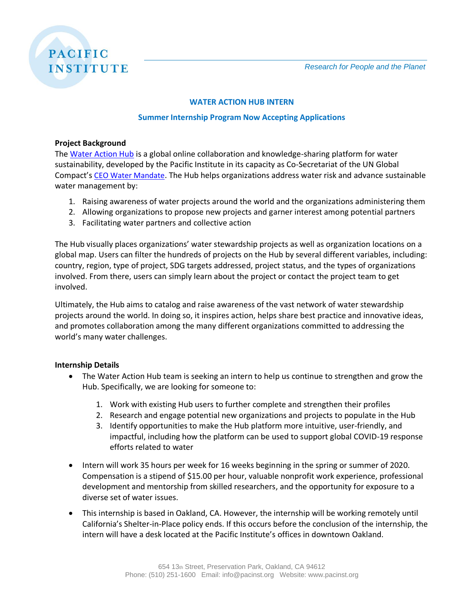

## **WATER ACTION HUB INTERN**

### **Summer Internship Program Now Accepting Applications**

### **Project Background**

The [Water Action Hub](http://www.wateractionhub.org/) is a global online collaboration and knowledge-sharing platform for water sustainability, developed by the Pacific Institute in its capacity as Co-Secretariat of the UN Global Compact's [CEO Water Mandate](https://ceowatermandate.org/). The Hub helps organizations address water risk and advance sustainable water management by:

- 1. Raising awareness of water projects around the world and the organizations administering them
- 2. Allowing organizations to propose new projects and garner interest among potential partners
- 3. Facilitating water partners and collective action

The Hub visually places organizations' water stewardship projects as well as organization locations on a global map. Users can filter the hundreds of projects on the Hub by several different variables, including: country, region, type of project, SDG targets addressed, project status, and the types of organizations involved. From there, users can simply learn about the project or contact the project team to get involved.

Ultimately, the Hub aims to catalog and raise awareness of the vast network of water stewardship projects around the world. In doing so, it inspires action, helps share best practice and innovative ideas, and promotes collaboration among the many different organizations committed to addressing the world's many water challenges.

### **Internship Details**

- The Water Action Hub team is seeking an intern to help us continue to strengthen and grow the Hub. Specifically, we are looking for someone to:
	- 1. Work with existing Hub users to further complete and strengthen their profiles
	- 2. Research and engage potential new organizations and projects to populate in the Hub
	- 3. Identify opportunities to make the Hub platform more intuitive, user-friendly, and impactful, including how the platform can be used to support global COVID-19 response efforts related to water
- Intern will work 35 hours per week for 16 weeks beginning in the spring or summer of 2020. Compensation is a stipend of \$15.00 per hour, valuable nonprofit work experience, professional development and mentorship from skilled researchers, and the opportunity for exposure to a diverse set of water issues.
- This internship is based in Oakland, CA. However, the internship will be working remotely until California's Shelter-in-Place policy ends. If this occurs before the conclusion of the internship, the intern will have a desk located at the Pacific Institute's offices in downtown Oakland.